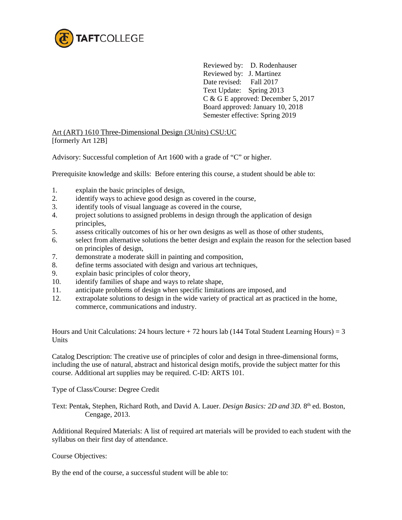

Reviewed by: D. Rodenhauser Reviewed by: J. Martinez Date revised: Fall 2017 Text Update: Spring 2013 C & G E approved: December 5, 2017 Board approved: January 10, 2018 Semester effective: Spring 2019

Art (ART) 1610 Three-Dimensional Design (3Units) CSU:UC [formerly Art 12B]

Advisory: Successful completion of Art 1600 with a grade of "C" or higher.

Prerequisite knowledge and skills: Before entering this course, a student should be able to:

- 1. explain the basic principles of design,
- 2. identify ways to achieve good design as covered in the course,
- 3. identify tools of visual language as covered in the course,
- 4. project solutions to assigned problems in design through the application of design principles,
- 5. assess critically outcomes of his or her own designs as well as those of other students,
- 6. select from alternative solutions the better design and explain the reason for the selection based on principles of design,
- 7. demonstrate a moderate skill in painting and composition,
- 8. define terms associated with design and various art techniques,
- 9. explain basic principles of color theory,
- 10. identify families of shape and ways to relate shape,
- 11. anticipate problems of design when specific limitations are imposed, and
- 12. extrapolate solutions to design in the wide variety of practical art as practiced in the home, commerce, communications and industry.

Hours and Unit Calculations: 24 hours lecture  $+ 72$  hours lab (144 Total Student Learning Hours) = 3 Units

Catalog Description: The creative use of principles of color and design in three-dimensional forms, including the use of natural, abstract and historical design motifs, provide the subject matter for this course. Additional art supplies may be required. C-ID: ARTS 101.

Type of Class/Course: Degree Credit

Text: Pentak, Stephen, Richard Roth, and David A. Lauer. *Design Basics: 2D and 3D*. 8<sup>th</sup> ed. Boston, Cengage, 2013.

Additional Required Materials: A list of required art materials will be provided to each student with the syllabus on their first day of attendance.

Course Objectives:

By the end of the course, a successful student will be able to: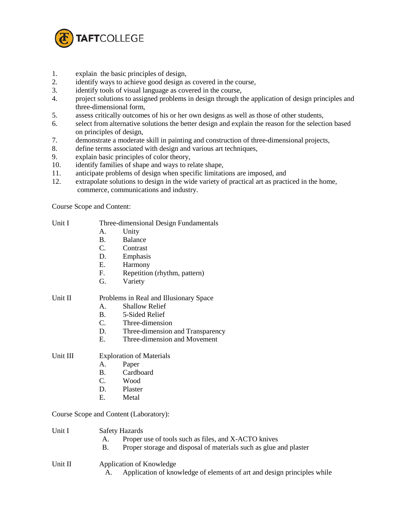

- 1. explain the basic principles of design,
- 2. identify ways to achieve good design as covered in the course,
- 3. identify tools of visual language as covered in the course,
- 4. project solutions to assigned problems in design through the application of design principles and three-dimensional form,
- 5. assess critically outcomes of his or her own designs as well as those of other students,
- 6. select from alternative solutions the better design and explain the reason for the selection based on principles of design,
- 7. demonstrate a moderate skill in painting and construction of three-dimensional projects,
- 8. define terms associated with design and various art techniques,
- 9. explain basic principles of color theory,
- 10. identify families of shape and ways to relate shape,
- 11. anticipate problems of design when specific limitations are imposed, and
- 12. extrapolate solutions to design in the wide variety of practical art as practiced in the home, commerce, communications and industry.

Course Scope and Content:

| Unit I |  | Three-dimensional Design Fundamentals |
|--------|--|---------------------------------------|

- A. Unity
- B. Balance
- C. Contrast
- D. Emphasis
- E. Harmony
- F. Repetition (rhythm, pattern)
- G. Variety

## Unit II Problems in Real and Illusionary Space

- A. Shallow Relief
	- B. 5-Sided Relief
- C. Three-dimension
- D. Three-dimension and Transparency
- E. Three-dimension and Movement

## Unit III Exploration of Materials

- A. Paper
	- B. Cardboard<br>C. Wood
	- Wood.
	- D. Plaster
	- E. Metal

Course Scope and Content (Laboratory):

- Unit I Safety Hazards
	- A. Proper use of tools such as files, and X-ACTO knives
	- B. Proper storage and disposal of materials such as glue and plaster

## Unit II Application of Knowledge

A. Application of knowledge of elements of art and design principles while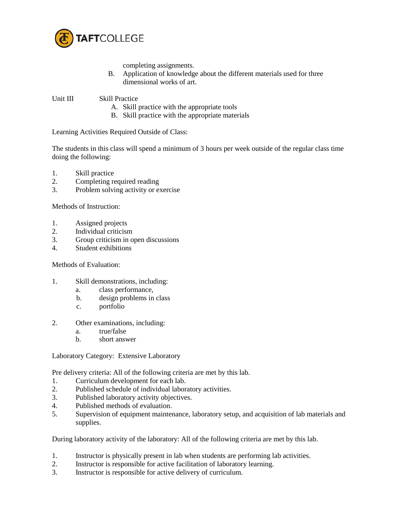

completing assignments.

B. Application of knowledge about the different materials used for three dimensional works of art.

Unit III Skill Practice

- A. Skill practice with the appropriate tools
- B. Skill practice with the appropriate materials

Learning Activities Required Outside of Class:

The students in this class will spend a minimum of 3 hours per week outside of the regular class time doing the following:

- 1. Skill practice
- 2. Completing required reading
- 3. Problem solving activity or exercise

Methods of Instruction:

- 1. Assigned projects
- 2. Individual criticism
- 3. Group criticism in open discussions
- 4. Student exhibitions

Methods of Evaluation:

- 1. Skill demonstrations, including:
	- a. class performance,
	- b. design problems in class
	- c. portfolio
- 2. Other examinations, including:
	- a. true/false
	- b. short answer

Laboratory Category: Extensive Laboratory

Pre delivery criteria: All of the following criteria are met by this lab.

- 1. Curriculum development for each lab.
- 2. Published schedule of individual laboratory activities.
- 3. Published laboratory activity objectives.
- 4. Published methods of evaluation.
- 5. Supervision of equipment maintenance, laboratory setup, and acquisition of lab materials and supplies.

During laboratory activity of the laboratory: All of the following criteria are met by this lab.

- 1. Instructor is physically present in lab when students are performing lab activities.
- 2. Instructor is responsible for active facilitation of laboratory learning.
- 3. Instructor is responsible for active delivery of curriculum.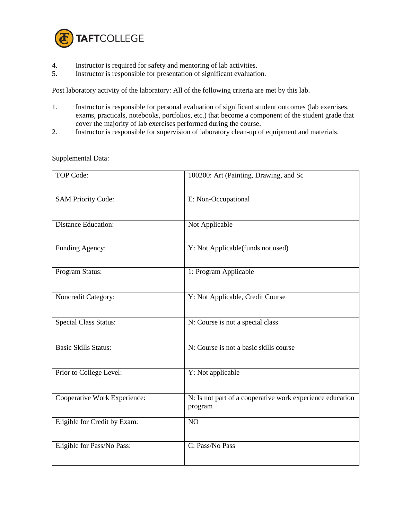

- 4. Instructor is required for safety and mentoring of lab activities.<br>5. Instructor is responsible for presentation of significant evaluation
- 5. Instructor is responsible for presentation of significant evaluation.

Post laboratory activity of the laboratory: All of the following criteria are met by this lab.

- 1. Instructor is responsible for personal evaluation of significant student outcomes (lab exercises, exams, practicals, notebooks, portfolios, etc.) that become a component of the student grade that cover the majority of lab exercises performed during the course.
- 2. Instructor is responsible for supervision of laboratory clean-up of equipment and materials.

| TOP Code:                    | 100200: Art (Painting, Drawing, and Sc                               |  |  |
|------------------------------|----------------------------------------------------------------------|--|--|
| <b>SAM Priority Code:</b>    | E: Non-Occupational                                                  |  |  |
| <b>Distance Education:</b>   | Not Applicable                                                       |  |  |
| Funding Agency:              | Y: Not Applicable(funds not used)                                    |  |  |
| Program Status:              | 1: Program Applicable                                                |  |  |
| Noncredit Category:          | Y: Not Applicable, Credit Course                                     |  |  |
| <b>Special Class Status:</b> | N: Course is not a special class                                     |  |  |
| <b>Basic Skills Status:</b>  | N: Course is not a basic skills course                               |  |  |
| Prior to College Level:      | Y: Not applicable                                                    |  |  |
| Cooperative Work Experience: | N: Is not part of a cooperative work experience education<br>program |  |  |
| Eligible for Credit by Exam: | NO                                                                   |  |  |
| Eligible for Pass/No Pass:   | C: Pass/No Pass                                                      |  |  |

## Supplemental Data: